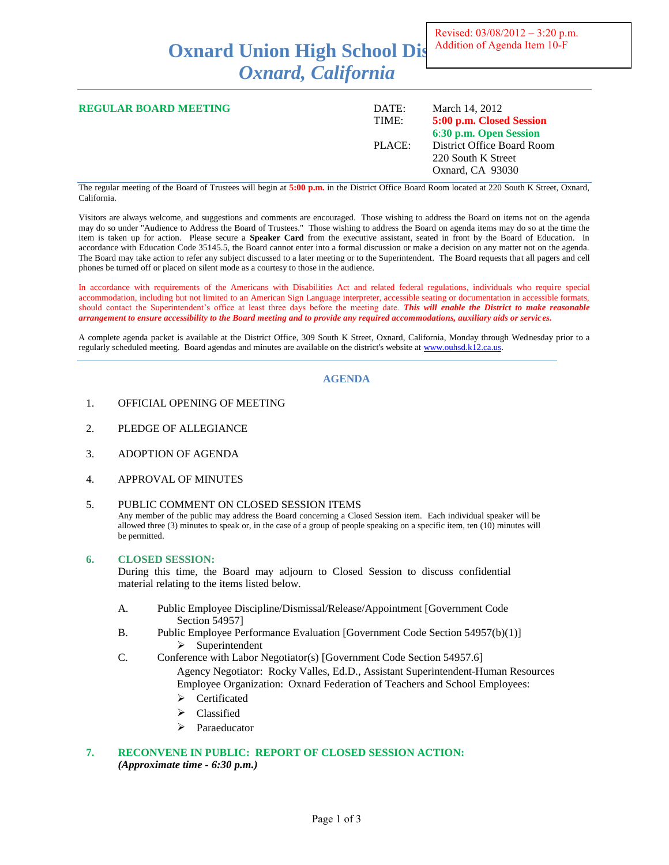# **Oxnard Union High School Dis** *Oxnard, California*

| <b>REGULAR BOARD MEETING</b> | DATE:<br>TIME: | March 14, 2012<br>5:00 p.m. Closed Session<br>6:30 p.m. Open Session |
|------------------------------|----------------|----------------------------------------------------------------------|
|                              | PLACE:         | District Office Board Room<br>220 South K Street<br>Oxnard, CA 93030 |

The regular meeting of the Board of Trustees will begin at **5:00 p.m.** in the District Office Board Room located at 220 South K Street, Oxnard, California.

Visitors are always welcome, and suggestions and comments are encouraged. Those wishing to address the Board on items not on the agenda may do so under "Audience to Address the Board of Trustees." Those wishing to address the Board on agenda items may do so at the time the item is taken up for action. Please secure a **Speaker Card** from the executive assistant, seated in front by the Board of Education. In accordance with Education Code 35145.5, the Board cannot enter into a formal discussion or make a decision on any matter not on the agenda. The Board may take action to refer any subject discussed to a later meeting or to the Superintendent. The Board requests that all pagers and cell phones be turned off or placed on silent mode as a courtesy to those in the audience.

In accordance with requirements of the Americans with Disabilities Act and related federal regulations, individuals who require special accommodation, including but not limited to an American Sign Language interpreter, accessible seating or documentation in accessible formats, should contact the Superintendent's office at least three days before the meeting date. *This will enable the District to make reasonable arrangement to ensure accessibility to the Board meeting and to provide any required accommodations, auxiliary aids or services.*

A complete agenda packet is available at the District Office, 309 South K Street, Oxnard, California, Monday through Wednesday prior to a regularly scheduled meeting. Board agendas and minutes are available on the district's website at [www.ouhsd.k12.ca.us.](http://www.ouhsd.k12.ca.us/)

## **AGENDA**

- 1. OFFICIAL OPENING OF MEETING
- 2. PLEDGE OF ALLEGIANCE
- 3. ADOPTION OF AGENDA
- 4. APPROVAL OF MINUTES

#### 5. PUBLIC COMMENT ON CLOSED SESSION ITEMS

Any member of the public may address the Board concerning a Closed Session item. Each individual speaker will be allowed three (3) minutes to speak or, in the case of a group of people speaking on a specific item, ten (10) minutes will be permitted.

#### **6. CLOSED SESSION:**

During this time, the Board may adjourn to Closed Session to discuss confidential material relating to the items listed below.

- A. Public Employee Discipline/Dismissal/Release/Appointment [Government Code Section 54957]
- B. Public Employee Performance Evaluation [Government Code Section 54957(b)(1)]  $\triangleright$  Superintendent
- C. Conference with Labor Negotiator(s) [Government Code Section 54957.6]

Agency Negotiator: Rocky Valles, Ed.D., Assistant Superintendent-Human Resources Employee Organization: Oxnard Federation of Teachers and School Employees:

- Certificated
- $\triangleright$  Classified
- > Paraeducator

# **7. RECONVENE IN PUBLIC: REPORT OF CLOSED SESSION ACTION:** *(Approximate time - 6:30 p.m.)*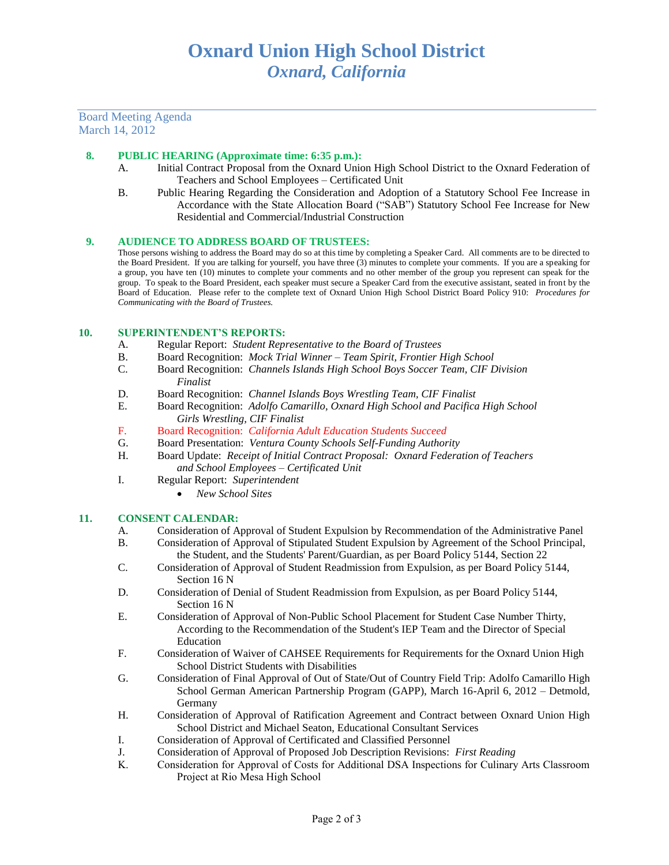# Board Meeting Agenda March 14, 2012

# **8. PUBLIC HEARING (Approximate time: 6:35 p.m.):**

- A. Initial Contract Proposal from the Oxnard Union High School District to the Oxnard Federation of Teachers and School Employees – Certificated Unit
- B. Public Hearing Regarding the Consideration and Adoption of a Statutory School Fee Increase in Accordance with the State Allocation Board ("SAB") Statutory School Fee Increase for New Residential and Commercial/Industrial Construction

## **9. AUDIENCE TO ADDRESS BOARD OF TRUSTEES:**

Those persons wishing to address the Board may do so at this time by completing a Speaker Card. All comments are to be directed to the Board President. If you are talking for yourself, you have three (3) minutes to complete your comments. If you are a speaking for a group, you have ten (10) minutes to complete your comments and no other member of the group you represent can speak for the group. To speak to the Board President, each speaker must secure a Speaker Card from the executive assistant, seated in front by the Board of Education. Please refer to the complete text of Oxnard Union High School District Board Policy 910: *Procedures for Communicating with the Board of Trustees.*

## **10. SUPERINTENDENT'S REPORTS:**

- A. Regular Report: *Student Representative to the Board of Trustees*
- B. Board Recognition: *Mock Trial Winner – Team Spirit, Frontier High School*
- C. Board Recognition: *Channels Islands High School Boys Soccer Team, CIF Division Finalist*
- D. Board Recognition: *Channel Islands Boys Wrestling Team, CIF Finalist*
- E. Board Recognition: *Adolfo Camarillo, Oxnard High School and Pacifica High School Girls Wrestling, CIF Finalist*
- F. Board Recognition: *California Adult Education Students Succeed*
- G. Board Presentation: *Ventura County Schools Self-Funding Authority*
- H. Board Update: *Receipt of Initial Contract Proposal: Oxnard Federation of Teachers and School Employees – Certificated Unit*
- I. Regular Report: *Superintendent*
	- *New School Sites*

#### **11. CONSENT CALENDAR:**

- A. Consideration of Approval of Student Expulsion by Recommendation of the Administrative Panel
- B. Consideration of Approval of Stipulated Student Expulsion by Agreement of the School Principal, the Student, and the Students' Parent/Guardian, as per Board Policy 5144, Section 22
- C. Consideration of Approval of Student Readmission from Expulsion, as per Board Policy 5144, Section 16 N
- D. Consideration of Denial of Student Readmission from Expulsion, as per Board Policy 5144, Section 16 N
- E. Consideration of Approval of Non-Public School Placement for Student Case Number Thirty, According to the Recommendation of the Student's IEP Team and the Director of Special Education
- F. Consideration of Waiver of CAHSEE Requirements for Requirements for the Oxnard Union High School District Students with Disabilities
- G. Consideration of Final Approval of Out of State/Out of Country Field Trip: Adolfo Camarillo High School German American Partnership Program (GAPP), March 16-April 6, 2012 – Detmold, Germany
- H. Consideration of Approval of Ratification Agreement and Contract between Oxnard Union High School District and Michael Seaton, Educational Consultant Services
- I. Consideration of Approval of Certificated and Classified Personnel
- J. Consideration of Approval of Proposed Job Description Revisions: *First Reading*
- K. Consideration for Approval of Costs for Additional DSA Inspections for Culinary Arts Classroom Project at Rio Mesa High School